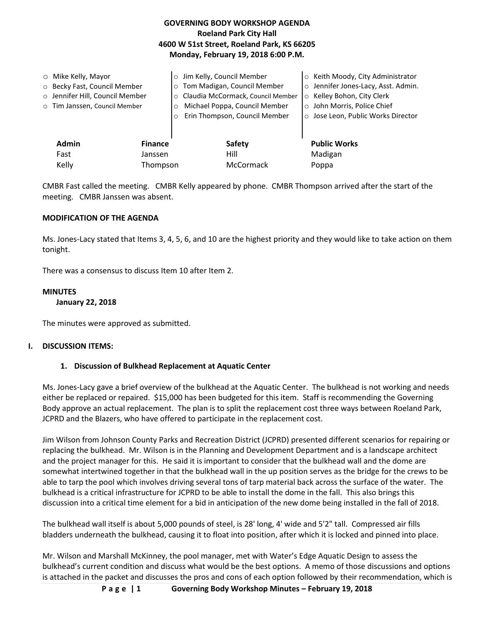| <b>Roeland Park City Hall</b><br>4600 W 51st Street, Roeland Park, KS 66205<br>Monday, February 19, 2018 6:00 P.M. |                                                                                                  |                                                                                                                                                                                                                        |                                                                                                                                                                             |
|--------------------------------------------------------------------------------------------------------------------|--------------------------------------------------------------------------------------------------|------------------------------------------------------------------------------------------------------------------------------------------------------------------------------------------------------------------------|-----------------------------------------------------------------------------------------------------------------------------------------------------------------------------|
| $\circ$ Mike Kelly, Mayor                                                                                          | ○ Becky Fast, Council Member<br>o Jennifer Hill, Council Member<br>o Tim Janssen, Council Member | Jim Kelly, Council Member<br>$\circ$<br>Tom Madigan, Council Member<br>$\circ$<br>Claudia McCormack, Council Member<br>$\circ$<br>Michael Poppa, Council Member<br>$\circ$<br>Erin Thompson, Council Member<br>$\circ$ | ○ Keith Moody, City Administrator<br>o Jennifer Jones-Lacy, Asst. Admin.<br>○ Kelley Bohon, City Clerk<br>○ John Morris, Police Chief<br>○ Jose Leon, Public Works Director |
| <b>Admin</b>                                                                                                       | <b>Finance</b>                                                                                   | <b>Safety</b>                                                                                                                                                                                                          | <b>Public Works</b>                                                                                                                                                         |
| Fast                                                                                                               | Janssen                                                                                          | Hill                                                                                                                                                                                                                   | Madigan                                                                                                                                                                     |
| Kelly                                                                                                              | Thompson                                                                                         | <b>McCormack</b>                                                                                                                                                                                                       | Poppa                                                                                                                                                                       |

**GOVERNING BODY WORKSHOP AGENDA**

CMBR Fast called the meeting. CMBR Kelly appeared by phone. CMBR Thompson arrived after the start of the meeting. CMBR Janssen was absent.

## **MODIFICATION OF THE AGENDA**

Ms. Jones-Lacy stated that Items 3, 4, 5, 6, and 10 are the highest priority and they would like to take action on them tonight.

There was a consensus to discuss Item 10 after Item 2.

#### **MINUTES**

#### **January 22, 2018**

The minutes were approved as submitted.

#### **I. DISCUSSION ITEMS:**

### **1. Discussion of Bulkhead Replacement at Aquatic Center**

Ms. Jones-Lacy gave a brief overview of the bulkhead at the Aquatic Center. The bulkhead is not working and needs either be replaced or repaired. \$15,000 has been budgeted for this item. Staff is recommending the Governing Body approve an actual replacement. The plan is to split the replacement cost three ways between Roeland Park, JCPRD and the Blazers, who have offered to participate in the replacement cost.

Jim Wilson from Johnson County Parks and Recreation District (JCPRD) presented different scenarios for repairing or replacing the bulkhead. Mr. Wilson is in the Planning and Development Department and is a landscape architect and the project manager for this. He said it is important to consider that the bulkhead wall and the dome are somewhat intertwined together in that the bulkhead wall in the up position serves as the bridge for the crews to be able to tarp the pool which involves driving several tons of tarp material back across the surface of the water. The bulkhead is a critical infrastructure for JCPRD to be able to install the dome in the fall. This also brings this discussion into a critical time element for a bid in anticipation of the new dome being installed in the fall of 2018.

The bulkhead wall itself is about 5,000 pounds of steel, is 28' long, 4' wide and 5'2" tall. Compressed air fills bladders underneath the bulkhead, causing it to float into position, after which it is locked and pinned into place.

Mr. Wilson and Marshall McKinney, the pool manager, met with Water's Edge Aquatic Design to assess the bulkhead's current condition and discuss what would be the best options. A memo of those discussions and options is attached in the packet and discusses the pros and cons of each option followed by their recommendation, which is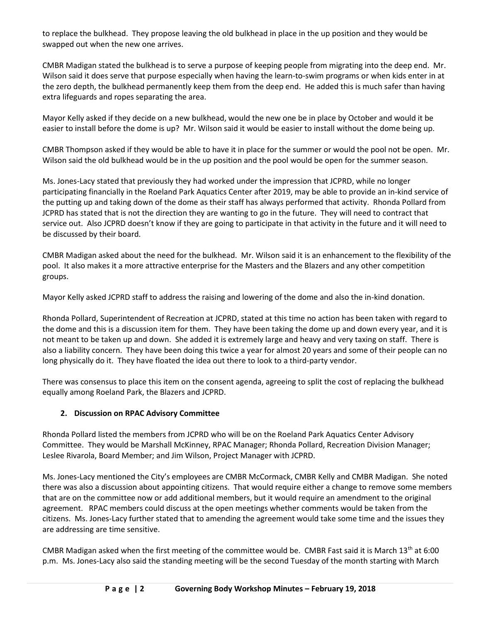to replace the bulkhead. They propose leaving the old bulkhead in place in the up position and they would be swapped out when the new one arrives.

CMBR Madigan stated the bulkhead is to serve a purpose of keeping people from migrating into the deep end. Mr. Wilson said it does serve that purpose especially when having the learn-to-swim programs or when kids enter in at the zero depth, the bulkhead permanently keep them from the deep end. He added this is much safer than having extra lifeguards and ropes separating the area.

Mayor Kelly asked if they decide on a new bulkhead, would the new one be in place by October and would it be easier to install before the dome is up? Mr. Wilson said it would be easier to install without the dome being up.

CMBR Thompson asked if they would be able to have it in place for the summer or would the pool not be open. Mr. Wilson said the old bulkhead would be in the up position and the pool would be open for the summer season.

Ms. Jones-Lacy stated that previously they had worked under the impression that JCPRD, while no longer participating financially in the Roeland Park Aquatics Center after 2019, may be able to provide an in-kind service of the putting up and taking down of the dome as their staff has always performed that activity. Rhonda Pollard from JCPRD has stated that is not the direction they are wanting to go in the future. They will need to contract that service out. Also JCPRD doesn't know if they are going to participate in that activity in the future and it will need to be discussed by their board.

CMBR Madigan asked about the need for the bulkhead. Mr. Wilson said it is an enhancement to the flexibility of the pool. It also makes it a more attractive enterprise for the Masters and the Blazers and any other competition groups.

Mayor Kelly asked JCPRD staff to address the raising and lowering of the dome and also the in-kind donation.

Rhonda Pollard, Superintendent of Recreation at JCPRD, stated at this time no action has been taken with regard to the dome and this is a discussion item for them. They have been taking the dome up and down every year, and it is not meant to be taken up and down. She added it is extremely large and heavy and very taxing on staff. There is also a liability concern. They have been doing this twice a year for almost 20 years and some of their people can no long physically do it. They have floated the idea out there to look to a third-party vendor.

There was consensus to place this item on the consent agenda, agreeing to split the cost of replacing the bulkhead equally among Roeland Park, the Blazers and JCPRD.

## **2. Discussion on RPAC Advisory Committee**

Rhonda Pollard listed the members from JCPRD who will be on the Roeland Park Aquatics Center Advisory Committee. They would be Marshall McKinney, RPAC Manager; Rhonda Pollard, Recreation Division Manager; Leslee Rivarola, Board Member; and Jim Wilson, Project Manager with JCPRD.

Ms. Jones-Lacy mentioned the City's employees are CMBR McCormack, CMBR Kelly and CMBR Madigan. She noted there was also a discussion about appointing citizens. That would require either a change to remove some members that are on the committee now or add additional members, but it would require an amendment to the original agreement. RPAC members could discuss at the open meetings whether comments would be taken from the citizens. Ms. Jones-Lacy further stated that to amending the agreement would take some time and the issues they are addressing are time sensitive.

CMBR Madigan asked when the first meeting of the committee would be. CMBR Fast said it is March  $13<sup>th</sup>$  at 6:00 p.m. Ms. Jones-Lacy also said the standing meeting will be the second Tuesday of the month starting with March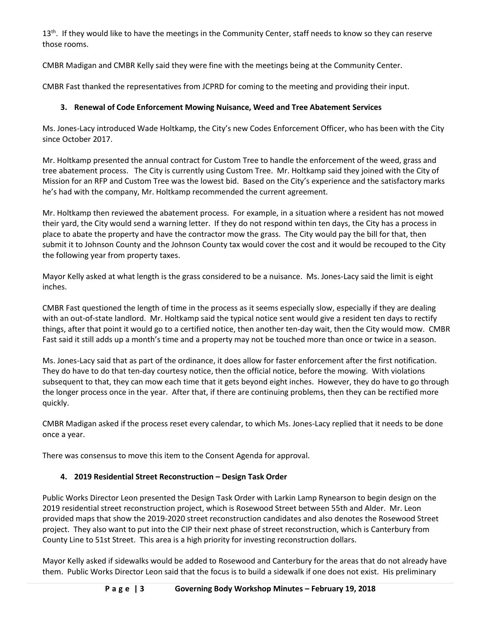13<sup>th</sup>. If they would like to have the meetings in the Community Center, staff needs to know so they can reserve those rooms.

CMBR Madigan and CMBR Kelly said they were fine with the meetings being at the Community Center.

CMBR Fast thanked the representatives from JCPRD for coming to the meeting and providing their input.

# **3. Renewal of Code Enforcement Mowing Nuisance, Weed and Tree Abatement Services**

Ms. Jones-Lacy introduced Wade Holtkamp, the City's new Codes Enforcement Officer, who has been with the City since October 2017.

Mr. Holtkamp presented the annual contract for Custom Tree to handle the enforcement of the weed, grass and tree abatement process. The City is currently using Custom Tree. Mr. Holtkamp said they joined with the City of Mission for an RFP and Custom Tree was the lowest bid. Based on the City's experience and the satisfactory marks he's had with the company, Mr. Holtkamp recommended the current agreement.

Mr. Holtkamp then reviewed the abatement process. For example, in a situation where a resident has not mowed their yard, the City would send a warning letter. If they do not respond within ten days, the City has a process in place to abate the property and have the contractor mow the grass. The City would pay the bill for that, then submit it to Johnson County and the Johnson County tax would cover the cost and it would be recouped to the City the following year from property taxes.

Mayor Kelly asked at what length is the grass considered to be a nuisance. Ms. Jones-Lacy said the limit is eight inches.

CMBR Fast questioned the length of time in the process as it seems especially slow, especially if they are dealing with an out-of-state landlord. Mr. Holtkamp said the typical notice sent would give a resident ten days to rectify things, after that point it would go to a certified notice, then another ten-day wait, then the City would mow. CMBR Fast said it still adds up a month's time and a property may not be touched more than once or twice in a season.

Ms. Jones-Lacy said that as part of the ordinance, it does allow for faster enforcement after the first notification. They do have to do that ten-day courtesy notice, then the official notice, before the mowing. With violations subsequent to that, they can mow each time that it gets beyond eight inches. However, they do have to go through the longer process once in the year. After that, if there are continuing problems, then they can be rectified more quickly.

CMBR Madigan asked if the process reset every calendar, to which Ms. Jones-Lacy replied that it needs to be done once a year.

There was consensus to move this item to the Consent Agenda for approval.

# **4. 2019 Residential Street Reconstruction – Design Task Order**

Public Works Director Leon presented the Design Task Order with Larkin Lamp Rynearson to begin design on the 2019 residential street reconstruction project, which is Rosewood Street between 55th and Alder. Mr. Leon provided maps that show the 2019-2020 street reconstruction candidates and also denotes the Rosewood Street project. They also want to put into the CIP their next phase of street reconstruction, which is Canterbury from County Line to 51st Street. This area is a high priority for investing reconstruction dollars.

Mayor Kelly asked if sidewalks would be added to Rosewood and Canterbury for the areas that do not already have them. Public Works Director Leon said that the focus is to build a sidewalk if one does not exist. His preliminary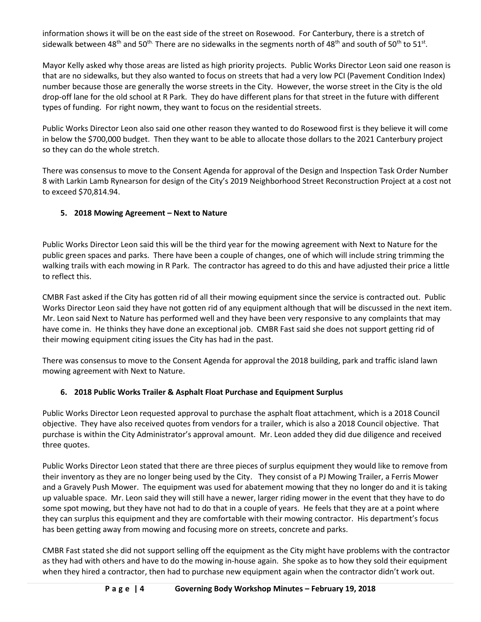information shows it will be on the east side of the street on Rosewood. For Canterbury, there is a stretch of sidewalk between 48<sup>th</sup> and 50<sup>th.</sup> There are no sidewalks in the segments north of 48<sup>th</sup> and south of 50<sup>th</sup> to 51<sup>st</sup>.

Mayor Kelly asked why those areas are listed as high priority projects. Public Works Director Leon said one reason is that are no sidewalks, but they also wanted to focus on streets that had a very low PCI (Pavement Condition Index) number because those are generally the worse streets in the City. However, the worse street in the City is the old drop-off lane for the old school at R Park. They do have different plans for that street in the future with different types of funding. For right nowm, they want to focus on the residential streets.

Public Works Director Leon also said one other reason they wanted to do Rosewood first is they believe it will come in below the \$700,000 budget. Then they want to be able to allocate those dollars to the 2021 Canterbury project so they can do the whole stretch.

There was consensus to move to the Consent Agenda for approval of the Design and Inspection Task Order Number 8 with Larkin Lamb Rynearson for design of the City's 2019 Neighborhood Street Reconstruction Project at a cost not to exceed \$70,814.94.

## **5. 2018 Mowing Agreement – Next to Nature**

Public Works Director Leon said this will be the third year for the mowing agreement with Next to Nature for the public green spaces and parks. There have been a couple of changes, one of which will include string trimming the walking trails with each mowing in R Park. The contractor has agreed to do this and have adjusted their price a little to reflect this.

CMBR Fast asked if the City has gotten rid of all their mowing equipment since the service is contracted out. Public Works Director Leon said they have not gotten rid of any equipment although that will be discussed in the next item. Mr. Leon said Next to Nature has performed well and they have been very responsive to any complaints that may have come in. He thinks they have done an exceptional job. CMBR Fast said she does not support getting rid of their mowing equipment citing issues the City has had in the past.

There was consensus to move to the Consent Agenda for approval the 2018 building, park and traffic island lawn mowing agreement with Next to Nature.

## **6. 2018 Public Works Trailer & Asphalt Float Purchase and Equipment Surplus**

Public Works Director Leon requested approval to purchase the asphalt float attachment, which is a 2018 Council objective. They have also received quotes from vendors for a trailer, which is also a 2018 Council objective. That purchase is within the City Administrator's approval amount. Mr. Leon added they did due diligence and received three quotes.

Public Works Director Leon stated that there are three pieces of surplus equipment they would like to remove from their inventory as they are no longer being used by the City. They consist of a PJ Mowing Trailer, a Ferris Mower and a Gravely Push Mower. The equipment was used for abatement mowing that they no longer do and it is taking up valuable space. Mr. Leon said they will still have a newer, larger riding mower in the event that they have to do some spot mowing, but they have not had to do that in a couple of years. He feels that they are at a point where they can surplus this equipment and they are comfortable with their mowing contractor. His department's focus has been getting away from mowing and focusing more on streets, concrete and parks.

CMBR Fast stated she did not support selling off the equipment as the City might have problems with the contractor as they had with others and have to do the mowing in-house again. She spoke as to how they sold their equipment when they hired a contractor, then had to purchase new equipment again when the contractor didn't work out.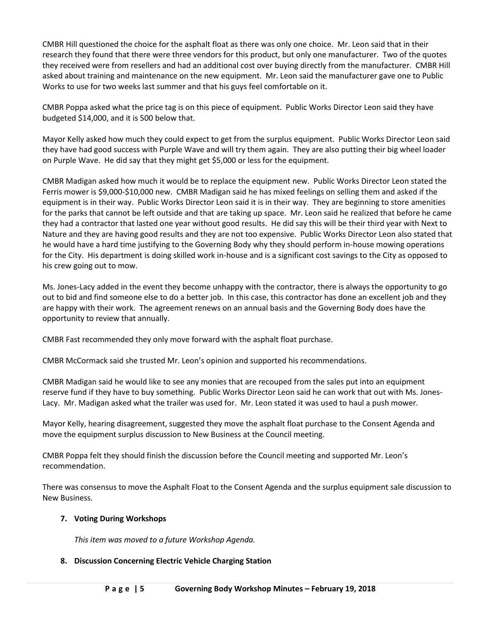CMBR Hill questioned the choice for the asphalt float as there was only one choice. Mr. Leon said that in their research they found that there were three vendors for this product, but only one manufacturer. Two of the quotes they received were from resellers and had an additional cost over buying directly from the manufacturer. CMBR Hill asked about training and maintenance on the new equipment. Mr. Leon said the manufacturer gave one to Public Works to use for two weeks last summer and that his guys feel comfortable on it.

CMBR Poppa asked what the price tag is on this piece of equipment. Public Works Director Leon said they have budgeted \$14,000, and it is 500 below that.

Mayor Kelly asked how much they could expect to get from the surplus equipment. Public Works Director Leon said they have had good success with Purple Wave and will try them again. They are also putting their big wheel loader on Purple Wave. He did say that they might get \$5,000 or less for the equipment.

CMBR Madigan asked how much it would be to replace the equipment new. Public Works Director Leon stated the Ferris mower is \$9,000-\$10,000 new. CMBR Madigan said he has mixed feelings on selling them and asked if the equipment is in their way. Public Works Director Leon said it is in their way. They are beginning to store amenities for the parks that cannot be left outside and that are taking up space. Mr. Leon said he realized that before he came they had a contractor that lasted one year without good results. He did say this will be their third year with Next to Nature and they are having good results and they are not too expensive. Public Works Director Leon also stated that he would have a hard time justifying to the Governing Body why they should perform in-house mowing operations for the City. His department is doing skilled work in-house and is a significant cost savings to the City as opposed to his crew going out to mow.

Ms. Jones-Lacy added in the event they become unhappy with the contractor, there is always the opportunity to go out to bid and find someone else to do a better job. In this case, this contractor has done an excellent job and they are happy with their work. The agreement renews on an annual basis and the Governing Body does have the opportunity to review that annually.

CMBR Fast recommended they only move forward with the asphalt float purchase.

CMBR McCormack said she trusted Mr. Leon's opinion and supported his recommendations.

CMBR Madigan said he would like to see any monies that are recouped from the sales put into an equipment reserve fund if they have to buy something. Public Works Director Leon said he can work that out with Ms. Jones-Lacy. Mr. Madigan asked what the trailer was used for. Mr. Leon stated it was used to haul a push mower.

Mayor Kelly, hearing disagreement, suggested they move the asphalt float purchase to the Consent Agenda and move the equipment surplus discussion to New Business at the Council meeting.

CMBR Poppa felt they should finish the discussion before the Council meeting and supported Mr. Leon's recommendation.

There was consensus to move the Asphalt Float to the Consent Agenda and the surplus equipment sale discussion to New Business.

## **7. Voting During Workshops**

*This item was moved to a future Workshop Agenda.* 

## **8. Discussion Concerning Electric Vehicle Charging Station**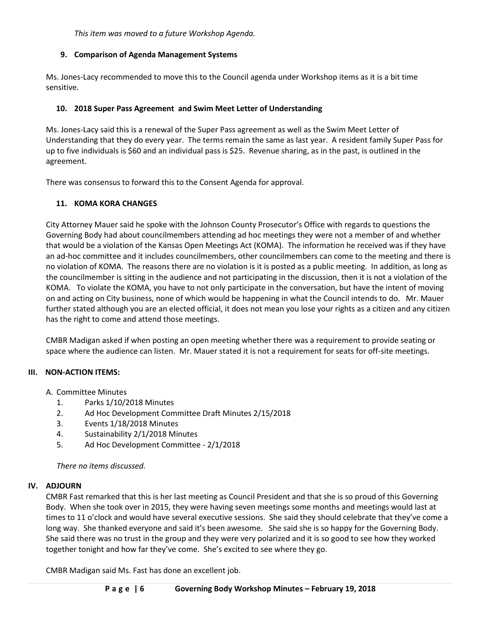*This item was moved to a future Workshop Agenda.* 

## **9. Comparison of Agenda Management Systems**

Ms. Jones-Lacy recommended to move this to the Council agenda under Workshop items as it is a bit time sensitive.

## **10. 2018 Super Pass Agreement and Swim Meet Letter of Understanding**

Ms. Jones-Lacy said this is a renewal of the Super Pass agreement as well as the Swim Meet Letter of Understanding that they do every year. The terms remain the same as last year. A resident family Super Pass for up to five individuals is \$60 and an individual pass is \$25. Revenue sharing, as in the past, is outlined in the agreement.

There was consensus to forward this to the Consent Agenda for approval.

## **11. KOMA KORA CHANGES**

City Attorney Mauer said he spoke with the Johnson County Prosecutor's Office with regards to questions the Governing Body had about councilmembers attending ad hoc meetings they were not a member of and whether that would be a violation of the Kansas Open Meetings Act (KOMA). The information he received was if they have an ad-hoc committee and it includes councilmembers, other councilmembers can come to the meeting and there is no violation of KOMA. The reasons there are no violation is it is posted as a public meeting. In addition, as long as the councilmember is sitting in the audience and not participating in the discussion, then it is not a violation of the KOMA. To violate the KOMA, you have to not only participate in the conversation, but have the intent of moving on and acting on City business, none of which would be happening in what the Council intends to do. Mr. Mauer further stated although you are an elected official, it does not mean you lose your rights as a citizen and any citizen has the right to come and attend those meetings.

CMBR Madigan asked if when posting an open meeting whether there was a requirement to provide seating or space where the audience can listen. Mr. Mauer stated it is not a requirement for seats for off-site meetings.

### **III. NON-ACTION ITEMS:**

- A. Committee Minutes
	- 1. Parks 1/10/2018 Minutes
	- 2. Ad Hoc Development Committee Draft Minutes 2/15/2018
	- 3. Events 1/18/2018 Minutes
	- 4. Sustainability 2/1/2018 Minutes
	- 5. Ad Hoc Development Committee 2/1/2018

*There no items discussed.*

### **IV. ADJOURN**

CMBR Fast remarked that this is her last meeting as Council President and that she is so proud of this Governing Body. When she took over in 2015, they were having seven meetings some months and meetings would last at times to 11 o'clock and would have several executive sessions. She said they should celebrate that they've come a long way. She thanked everyone and said it's been awesome. She said she is so happy for the Governing Body. She said there was no trust in the group and they were very polarized and it is so good to see how they worked together tonight and how far they've come. She's excited to see where they go.

CMBR Madigan said Ms. Fast has done an excellent job.